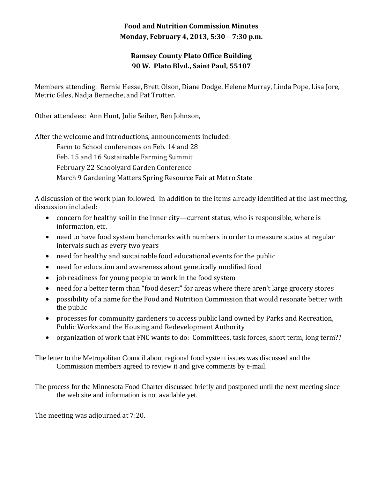## **Food and Nutrition Commission Minutes Monday, February 4, 2013, 5:30 – 7:30 p.m.**

## **Ramsey County Plato Office Building 90 W. Plato Blvd., Saint Paul, 55107**

Members attending: Bernie Hesse, Brett Olson, Diane Dodge, Helene Murray, Linda Pope, Lisa Jore, Metric Giles, Nadja Berneche, and Pat Trotter.

Other attendees: Ann Hunt, Julie Seiber, Ben Johnson,

After the welcome and introductions, announcements included:

 Farm to School conferences on Feb. 14 and 28 Feb. 15 and 16 Sustainable Farming Summit February 22 Schoolyard Garden Conference March 9 Gardening Matters Spring Resource Fair at Metro State

A discussion of the work plan followed. In addition to the items already identified at the last meeting, discussion included:

- concern for healthy soil in the inner city—current status, who is responsible, where is information, etc.
- need to have food system benchmarks with numbers in order to measure status at regular intervals such as every two years
- need for healthy and sustainable food educational events for the public
- need for education and awareness about genetically modified food
- job readiness for young people to work in the food system
- need for a better term than "food desert" for areas where there aren't large grocery stores
- possibility of a name for the Food and Nutrition Commission that would resonate better with the public
- processes for community gardeners to access public land owned by Parks and Recreation, Public Works and the Housing and Redevelopment Authority
- organization of work that FNC wants to do: Committees, task forces, short term, long term??

The letter to the Metropolitan Council about regional food system issues was discussed and the Commission members agreed to review it and give comments by e-mail.

The process for the Minnesota Food Charter discussed briefly and postponed until the next meeting since the web site and information is not available yet.

The meeting was adjourned at 7:20.